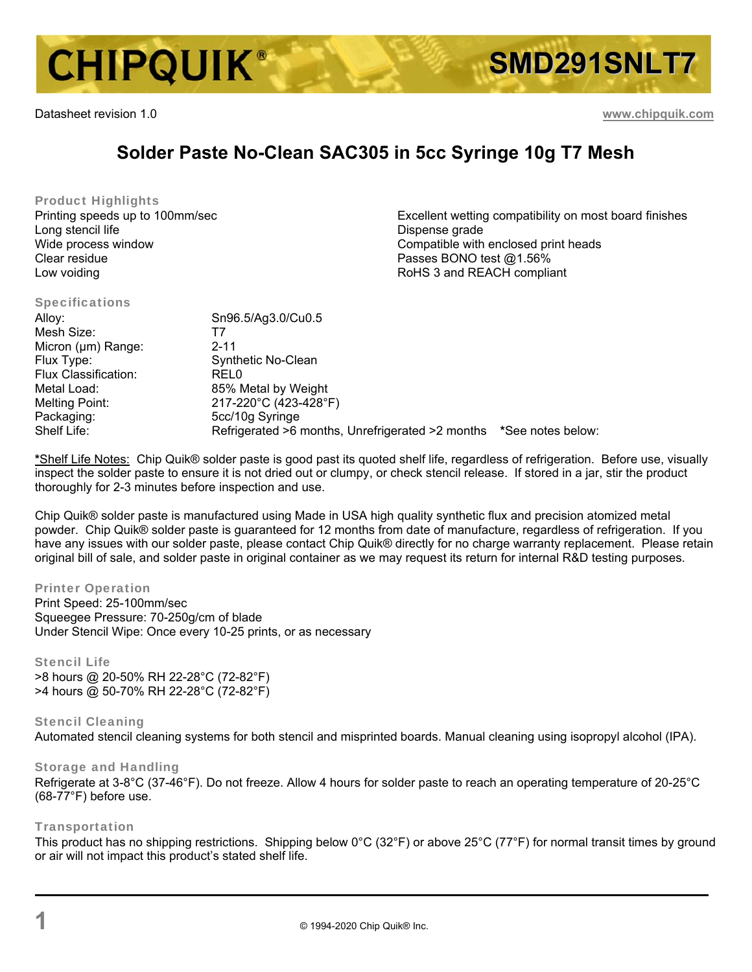

Datasheet revision 1.0 **www.chipquik.com**

# **Solder Paste No-Clean SAC305 in 5cc Syringe 10g T7 Mesh**

Product Highlights Printing speeds up to 100mm/sec Long stencil life Wide process window Clear residue Low voiding

Excellent wetting compatibility on most board finishes Dispense grade Compatible with enclosed print heads Passes BONO test @1.56% RoHS 3 and REACH compliant

| <b>Specifications</b> |                                                  |                   |
|-----------------------|--------------------------------------------------|-------------------|
| Alloy:                | Sn96.5/Ag3.0/Cu0.5                               |                   |
| Mesh Size:            | 17                                               |                   |
| Micron (µm) Range:    | 2-11                                             |                   |
| Flux Type:            | Synthetic No-Clean                               |                   |
| Flux Classification:  | REL0                                             |                   |
| Metal Load:           | 85% Metal by Weight                              |                   |
| Melting Point:        | 217-220°C (423-428°F)                            |                   |
| Packaging:            | 5cc/10g Syringe                                  |                   |
| Shelf Life:           | Refrigerated >6 months, Unrefrigerated >2 months | *See notes below: |

**\***Shelf Life Notes: Chip Quik® solder paste is good past its quoted shelf life, regardless of refrigeration. Before use, visually inspect the solder paste to ensure it is not dried out or clumpy, or check stencil release. If stored in a jar, stir the product thoroughly for 2-3 minutes before inspection and use.

Chip Quik® solder paste is manufactured using Made in USA high quality synthetic flux and precision atomized metal powder. Chip Quik® solder paste is guaranteed for 12 months from date of manufacture, regardless of refrigeration. If you have any issues with our solder paste, please contact Chip Quik® directly for no charge warranty replacement. Please retain original bill of sale, and solder paste in original container as we may request its return for internal R&D testing purposes.

### Printer Operation

Print Speed: 25-100mm/sec Squeegee Pressure: 70-250g/cm of blade Under Stencil Wipe: Once every 10-25 prints, or as necessary

# Stencil Life

>8 hours @ 20-50% RH 22-28°C (72-82°F) >4 hours @ 50-70% RH 22-28°C (72-82°F)

#### Stencil Cleaning Automated stencil cleaning systems for both stencil and misprinted boards. Manual cleaning using isopropyl alcohol (IPA).

#### Storage and Handling

Refrigerate at 3-8°C (37-46°F). Do not freeze. Allow 4 hours for solder paste to reach an operating temperature of 20-25°C (68-77°F) before use.

## Transportation

This product has no shipping restrictions. Shipping below 0°C (32°F) or above 25°C (77°F) for normal transit times by ground or air will not impact this product's stated shelf life.